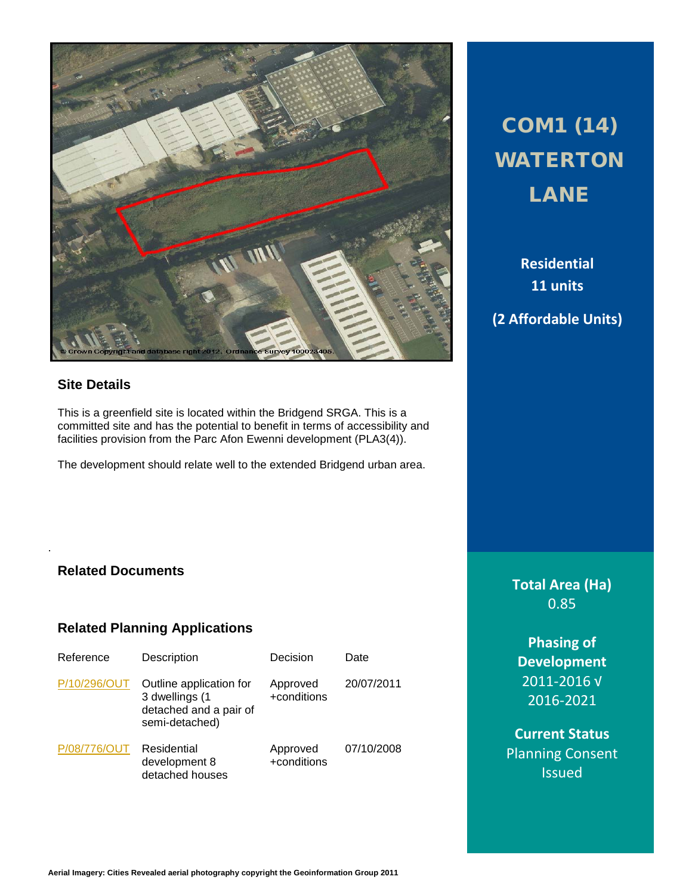

# **Site Details**

This is a greenfield site is located within the Bridgend SRGA. This is a committed site and has the potential to benefit in terms of accessibility and facilities provision from the Parc Afon Ewenni development (PLA3(4)).

The development should relate well to the extended Bridgend urban area.

# COM1 (14) WATERTON LANE

**Residential 11 units**

# **(2 Affordable Units)**

## **Related Documents**

.

## **Related Planning Applications**

| Reference    | Description                                                                           | Decision                | Date       |
|--------------|---------------------------------------------------------------------------------------|-------------------------|------------|
| P/10/296/OUT | Outline application for<br>3 dwellings (1<br>detached and a pair of<br>semi-detached) | Approved<br>+conditions | 20/07/2011 |
| P/08/776/OUT | Residential<br>development 8<br>detached houses                                       | Approved<br>+conditions | 07/10/2008 |

# **Total Area (Ha)** 0.85

**Phasing of Development** 2011-2016 √ 2016-2021

**Current Status** Planning Consent **Issued**